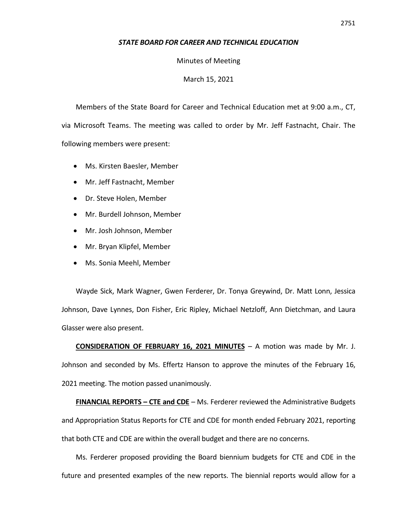## *STATE BOARD FOR CAREER AND TECHNICAL EDUCATION*

Minutes of Meeting

March 15, 2021

Members of the State Board for Career and Technical Education met at 9:00 a.m., CT, via Microsoft Teams. The meeting was called to order by Mr. Jeff Fastnacht, Chair. The following members were present:

- Ms. Kirsten Baesler, Member
- Mr. Jeff Fastnacht, Member
- Dr. Steve Holen, Member
- Mr. Burdell Johnson, Member
- Mr. Josh Johnson, Member
- Mr. Bryan Klipfel, Member
- Ms. Sonia Meehl, Member

Wayde Sick, Mark Wagner, Gwen Ferderer, Dr. Tonya Greywind, Dr. Matt Lonn, Jessica Johnson, Dave Lynnes, Don Fisher, Eric Ripley, Michael Netzloff, Ann Dietchman, and Laura Glasser were also present.

**CONSIDERATION OF FEBRUARY 16, 2021 MINUTES** – A motion was made by Mr. J. Johnson and seconded by Ms. Effertz Hanson to approve the minutes of the February 16, 2021 meeting. The motion passed unanimously.

**FINANCIAL REPORTS – CTE and CDE** – Ms. Ferderer reviewed the Administrative Budgets and Appropriation Status Reports for CTE and CDE for month ended February 2021, reporting that both CTE and CDE are within the overall budget and there are no concerns.

Ms. Ferderer proposed providing the Board biennium budgets for CTE and CDE in the future and presented examples of the new reports. The biennial reports would allow for a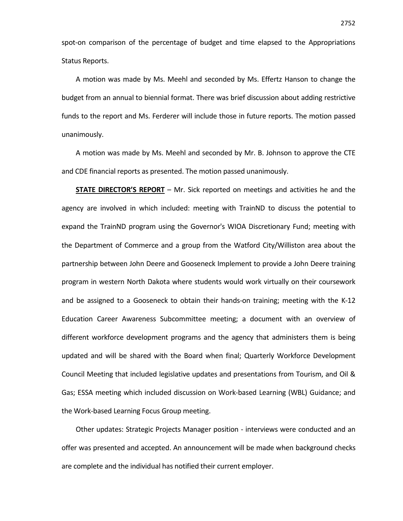spot-on comparison of the percentage of budget and time elapsed to the Appropriations Status Reports.

A motion was made by Ms. Meehl and seconded by Ms. Effertz Hanson to change the budget from an annual to biennial format. There was brief discussion about adding restrictive funds to the report and Ms. Ferderer will include those in future reports. The motion passed unanimously.

A motion was made by Ms. Meehl and seconded by Mr. B. Johnson to approve the CTE and CDE financial reports as presented. The motion passed unanimously.

**STATE DIRECTOR'S REPORT** – Mr. Sick reported on meetings and activities he and the agency are involved in which included: meeting with TrainND to discuss the potential to expand the TrainND program using the Governor's WIOA Discretionary Fund; meeting with the Department of Commerce and a group from the Watford City/Williston area about the partnership between John Deere and Gooseneck Implement to provide a John Deere training program in western North Dakota where students would work virtually on their coursework and be assigned to a Gooseneck to obtain their hands-on training; meeting with the K-12 Education Career Awareness Subcommittee meeting; a document with an overview of different workforce development programs and the agency that administers them is being updated and will be shared with the Board when final; Quarterly Workforce Development Council Meeting that included legislative updates and presentations from Tourism, and Oil & Gas; ESSA meeting which included discussion on Work-based Learning (WBL) Guidance; and the Work-based Learning Focus Group meeting.

Other updates: Strategic Projects Manager position - interviews were conducted and an offer was presented and accepted. An announcement will be made when background checks are complete and the individual has notified their current employer.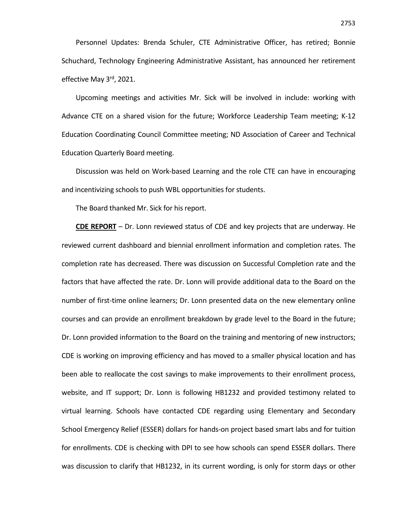Personnel Updates: Brenda Schuler, CTE Administrative Officer, has retired; Bonnie Schuchard, Technology Engineering Administrative Assistant, has announced her retirement effective May 3<sup>rd</sup>, 2021.

Upcoming meetings and activities Mr. Sick will be involved in include: working with Advance CTE on a shared vision for the future; Workforce Leadership Team meeting; K-12 Education Coordinating Council Committee meeting; ND Association of Career and Technical Education Quarterly Board meeting.

Discussion was held on Work-based Learning and the role CTE can have in encouraging and incentivizing schools to push WBL opportunities for students.

The Board thanked Mr. Sick for his report.

**CDE REPORT** – Dr. Lonn reviewed status of CDE and key projects that are underway. He reviewed current dashboard and biennial enrollment information and completion rates. The completion rate has decreased. There was discussion on Successful Completion rate and the factors that have affected the rate. Dr. Lonn will provide additional data to the Board on the number of first-time online learners; Dr. Lonn presented data on the new elementary online courses and can provide an enrollment breakdown by grade level to the Board in the future; Dr. Lonn provided information to the Board on the training and mentoring of new instructors; CDE is working on improving efficiency and has moved to a smaller physical location and has been able to reallocate the cost savings to make improvements to their enrollment process, website, and IT support; Dr. Lonn is following HB1232 and provided testimony related to virtual learning. Schools have contacted CDE regarding using Elementary and Secondary School Emergency Relief (ESSER) dollars for hands-on project based smart labs and for tuition for enrollments. CDE is checking with DPI to see how schools can spend ESSER dollars. There was discussion to clarify that HB1232, in its current wording, is only for storm days or other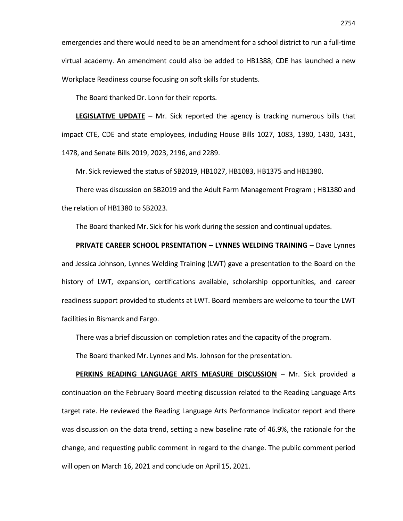emergencies and there would need to be an amendment for a school district to run a full-time virtual academy. An amendment could also be added to HB1388; CDE has launched a new Workplace Readiness course focusing on soft skills for students.

The Board thanked Dr. Lonn for their reports.

**LEGISLATIVE UPDATE** – Mr. Sick reported the agency is tracking numerous bills that impact CTE, CDE and state employees, including House Bills 1027, 1083, 1380, 1430, 1431, 1478, and Senate Bills 2019, 2023, 2196, and 2289.

Mr. Sick reviewed the status of SB2019, HB1027, HB1083, HB1375 and HB1380.

There was discussion on SB2019 and the Adult Farm Management Program ; HB1380 and the relation of HB1380 to SB2023.

The Board thanked Mr. Sick for his work during the session and continual updates.

## **PRIVATE CAREER SCHOOL PRSENTATION – LYNNES WELDING TRAINING** – Dave Lynnes

and Jessica Johnson, Lynnes Welding Training (LWT) gave a presentation to the Board on the history of LWT, expansion, certifications available, scholarship opportunities, and career readiness support provided to students at LWT. Board members are welcome to tour the LWT facilities in Bismarck and Fargo.

There was a brief discussion on completion rates and the capacity of the program.

The Board thanked Mr. Lynnes and Ms. Johnson for the presentation.

**PERKINS READING LANGUAGE ARTS MEASURE DISCUSSION** – Mr. Sick provided a continuation on the February Board meeting discussion related to the Reading Language Arts target rate. He reviewed the Reading Language Arts Performance Indicator report and there was discussion on the data trend, setting a new baseline rate of 46.9%, the rationale for the change, and requesting public comment in regard to the change. The public comment period will open on March 16, 2021 and conclude on April 15, 2021.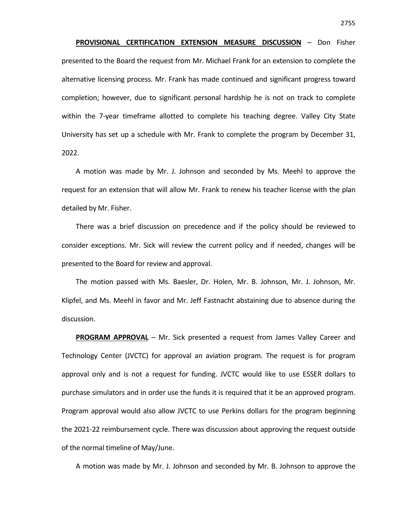**PROVISIONAL CERTIFICATION EXTENSION MEASURE DISCUSSION** – Don Fisher presented to the Board the request from Mr. Michael Frank for an extension to complete the alternative licensing process. Mr. Frank has made continued and significant progress toward completion; however, due to significant personal hardship he is not on track to complete within the 7-year timeframe allotted to complete his teaching degree. Valley City State University has set up a schedule with Mr. Frank to complete the program by December 31, 2022.

A motion was made by Mr. J. Johnson and seconded by Ms. Meehl to approve the request for an extension that will allow Mr. Frank to renew his teacher license with the plan detailed by Mr. Fisher.

There was a brief discussion on precedence and if the policy should be reviewed to consider exceptions. Mr. Sick will review the current policy and if needed, changes will be presented to the Board for review and approval.

The motion passed with Ms. Baesler, Dr. Holen, Mr. B. Johnson, Mr. J. Johnson, Mr. Klipfel, and Ms. Meehl in favor and Mr. Jeff Fastnacht abstaining due to absence during the discussion.

**PROGRAM APPROVAL** – Mr. Sick presented a request from James Valley Career and Technology Center (JVCTC) for approval an aviation program. The request is for program approval only and is not a request for funding. JVCTC would like to use ESSER dollars to purchase simulators and in order use the funds it is required that it be an approved program. Program approval would also allow JVCTC to use Perkins dollars for the program beginning the 2021-22 reimbursement cycle. There was discussion about approving the request outside of the normal timeline of May/June.

A motion was made by Mr. J. Johnson and seconded by Mr. B. Johnson to approve the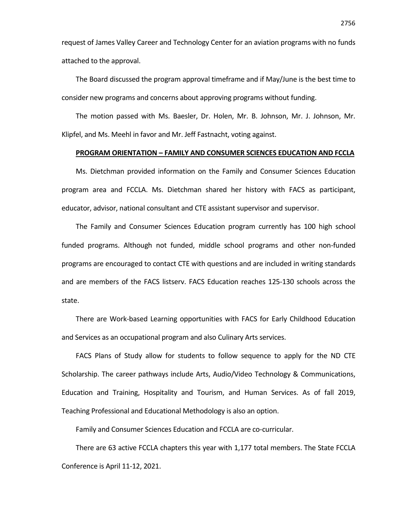request of James Valley Career and Technology Center for an aviation programs with no funds attached to the approval.

The Board discussed the program approval timeframe and if May/June is the best time to consider new programs and concerns about approving programs without funding.

The motion passed with Ms. Baesler, Dr. Holen, Mr. B. Johnson, Mr. J. Johnson, Mr. Klipfel, and Ms. Meehl in favor and Mr. Jeff Fastnacht, voting against.

## **PROGRAM ORIENTATION – FAMILY AND CONSUMER SCIENCES EDUCATION AND FCCLA**

Ms. Dietchman provided information on the Family and Consumer Sciences Education program area and FCCLA. Ms. Dietchman shared her history with FACS as participant, educator, advisor, national consultant and CTE assistant supervisor and supervisor.

The Family and Consumer Sciences Education program currently has 100 high school funded programs. Although not funded, middle school programs and other non-funded programs are encouraged to contact CTE with questions and are included in writing standards and are members of the FACS listserv. FACS Education reaches 125-130 schools across the state.

There are Work-based Learning opportunities with FACS for Early Childhood Education and Services as an occupational program and also Culinary Arts services.

FACS Plans of Study allow for students to follow sequence to apply for the ND CTE Scholarship. The career pathways include Arts, Audio/Video Technology & Communications, Education and Training, Hospitality and Tourism, and Human Services. As of fall 2019, Teaching Professional and Educational Methodology is also an option.

Family and Consumer Sciences Education and FCCLA are co-curricular.

There are 63 active FCCLA chapters this year with 1,177 total members. The State FCCLA Conference is April 11-12, 2021.